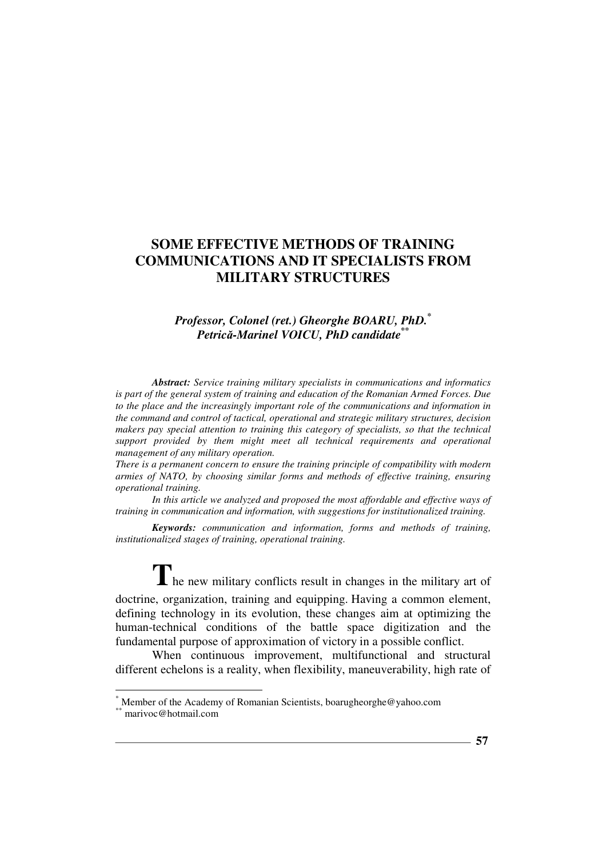# *Professor, Colonel (ret.) Gheorghe BOARU, PhD.\* Petrică-Marinel VOICU, PhD candidate\*\**

*Abstract: Service training military specialists in communications and informatics is part of the general system of training and education of the Romanian Armed Forces. Due to the place and the increasingly important role of the communications and information in the command and control of tactical, operational and strategic military structures, decision makers pay special attention to training this category of specialists, so that the technical support provided by them might meet all technical requirements and operational management of any military operation.*

*There is a permanent concern to ensure the training principle of compatibility with modern armies of NATO, by choosing similar forms and methods of effective training, ensuring operational training.* 

*In this article we analyzed and proposed the most affordable and effective ways of training in communication and information, with suggestions for institutionalized training.* 

*Keywords: communication and information, forms and methods of training, institutionalized stages of training, operational training.* 

The new military conflicts result in changes in the military art of

doctrine, organization, training and equipping. Having a common element, defining technology in its evolution, these changes aim at optimizing the human-technical conditions of the battle space digitization and the fundamental purpose of approximation of victory in a possible conflict.

When continuous improvement, multifunctional and structural different echelons is a reality, when flexibility, maneuverability, high rate of

l

<sup>\*</sup> Member of the Academy of Romanian Scientists, boarugheorghe@yahoo.com marivoc@hotmail.com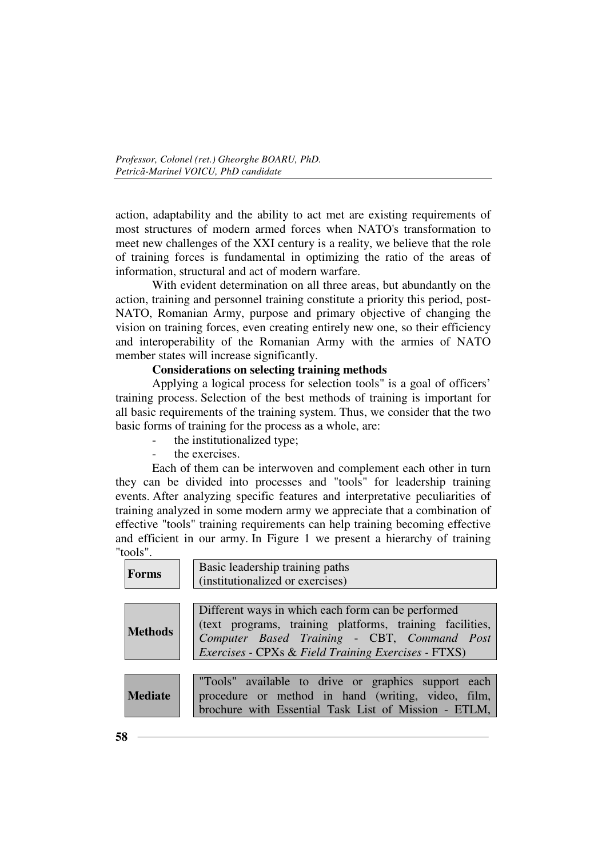action, adaptability and the ability to act met are existing requirements of most structures of modern armed forces when NATO's transformation to meet new challenges of the XXI century is a reality, we believe that the role of training forces is fundamental in optimizing the ratio of the areas of information, structural and act of modern warfare.

With evident determination on all three areas, but abundantly on the action, training and personnel training constitute a priority this period, post-NATO, Romanian Army, purpose and primary objective of changing the vision on training forces, even creating entirely new one, so their efficiency and interoperability of the Romanian Army with the armies of NATO member states will increase significantly.

# **Considerations on selecting training methods**

Applying a logical process for selection tools" is a goal of officers' training process. Selection of the best methods of training is important for all basic requirements of the training system. Thus, we consider that the two basic forms of training for the process as a whole, are:

- the institutionalized type;
- the exercises.

Each of them can be interwoven and complement each other in turn they can be divided into processes and "tools" for leadership training events. After analyzing specific features and interpretative peculiarities of training analyzed in some modern army we appreciate that a combination of effective "tools" training requirements can help training becoming effective and efficient in our army. In Figure 1 we present a hierarchy of training "tools".

| <b>Forms</b>   | Basic leadership training paths<br>(institutionalized or exercises)                                                                                                                                                         |  |
|----------------|-----------------------------------------------------------------------------------------------------------------------------------------------------------------------------------------------------------------------------|--|
| <b>Methods</b> | Different ways in which each form can be performed<br>(text programs, training platforms, training facilities,<br>Computer Based Training - CBT, Command Post<br><i>Exercises</i> - CPXs & Field Training Exercises - FTXS) |  |
| <b>Mediate</b> | "Tools" available to drive or graphics support each<br>procedure or method in hand (writing, video, film,<br>brochure with Essential Task List of Mission - ETLM,                                                           |  |

**58**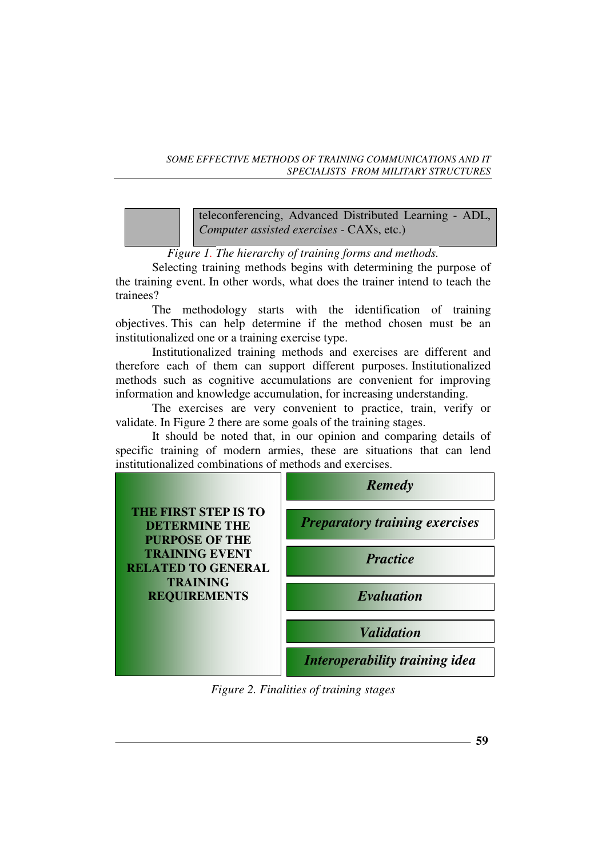teleconferencing, Advanced Distributed Learning - ADL, *Computer assisted exercises -* CAXs, etc.)

*Figure 1. The hierarchy of training forms and methods.*

Selecting training methods begins with determining the purpose of the training event. In other words, what does the trainer intend to teach the trainees?

The methodology starts with the identification of training objectives. This can help determine if the method chosen must be an institutionalized one or a training exercise type.

Institutionalized training methods and exercises are different and therefore each of them can support different purposes. Institutionalized methods such as cognitive accumulations are convenient for improving information and knowledge accumulation, for increasing understanding.

The exercises are very convenient to practice, train, verify or validate. In Figure 2 there are some goals of the training stages.

It should be noted that, in our opinion and comparing details of specific training of modern armies, these are situations that can lend institutionalized combinations of methods and exercises.



*Figure 2. Finalities of training stages*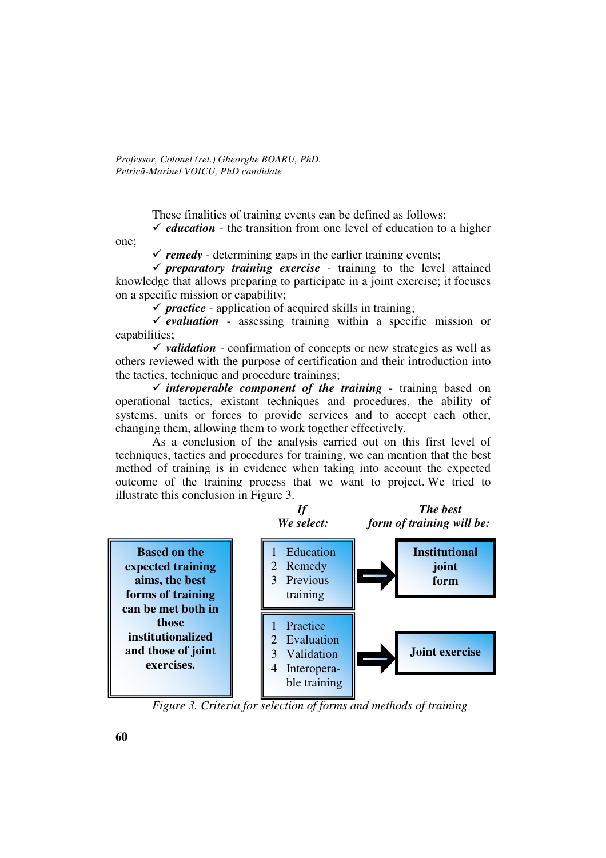These finalities of training events can be defined as follows:

 $\checkmark$  *education* - the transition from one level of education to a higher one;

 $\checkmark$  remedy - determining gaps in the earlier training events;

 $\checkmark$  preparatory training exercise - training to the level attained knowledge that allows preparing to participate in a joint exercise; it focuses on a specific mission or capability;

 $\checkmark$  *practice* - application of acquired skills in training;

 $\checkmark$  evaluation - assessing training within a specific mission or capabilities;

 $\checkmark$  *validation* - confirmation of concepts or new strategies as well as others reviewed with the purpose of certification and their introduction into the tactics, technique and procedure trainings;

 $\checkmark$  *interoperable component of the training* - training based on operational tactics, existant techniques and procedures, the ability of systems, units or forces to provide services and to accept each other, changing them, allowing them to work together effectively.

As a conclusion of the analysis carried out on this first level of techniques, tactics and procedures for training, we can mention that the best method of training is in evidence when taking into account the expected outcome of the training process that we want to project. We tried to illustrate this conclusion in Figure 3.



*Figure 3. Criteria for selection of forms and methods of training*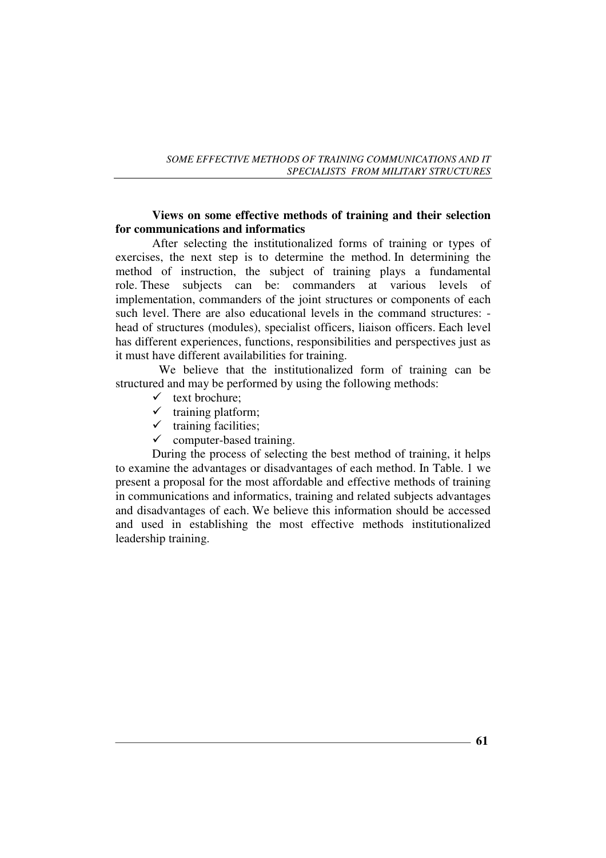### **Views on some effective methods of training and their selection for communications and informatics**

After selecting the institutionalized forms of training or types of exercises, the next step is to determine the method. In determining the method of instruction, the subject of training plays a fundamental role. These subjects can be: commanders at various levels of implementation, commanders of the joint structures or components of each such level. There are also educational levels in the command structures: head of structures (modules), specialist officers, liaison officers. Each level has different experiences, functions, responsibilities and perspectives just as it must have different availabilities for training.

 We believe that the institutionalized form of training can be structured and may be performed by using the following methods:

- $\checkmark$  text brochure;
- $\checkmark$  training platform;
- $\checkmark$  training facilities;
- $\checkmark$  computer-based training.

During the process of selecting the best method of training, it helps to examine the advantages or disadvantages of each method. In Table. 1 we present a proposal for the most affordable and effective methods of training in communications and informatics, training and related subjects advantages and disadvantages of each. We believe this information should be accessed and used in establishing the most effective methods institutionalized leadership training.

**61**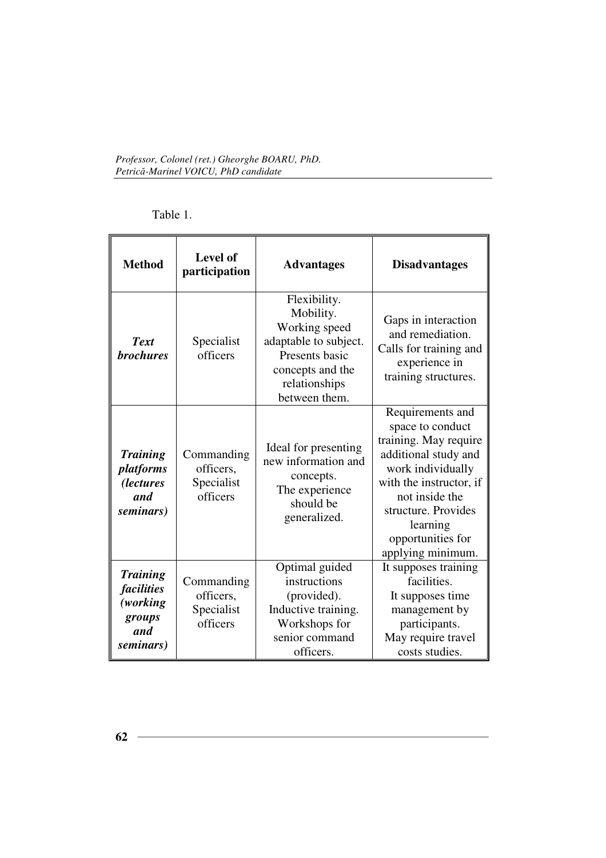| Table |
|-------|
|-------|

| <b>Method</b>                                                           | <b>Level of</b><br>participation                  | <b>Advantages</b>                                                                                                                           | <b>Disadvantages</b>                                                                                                                                                                                                                 |
|-------------------------------------------------------------------------|---------------------------------------------------|---------------------------------------------------------------------------------------------------------------------------------------------|--------------------------------------------------------------------------------------------------------------------------------------------------------------------------------------------------------------------------------------|
| <b>Text</b><br><b>brochures</b>                                         | Specialist<br>officers                            | Flexibility.<br>Mobility.<br>Working speed<br>adaptable to subject.<br>Presents basic<br>concepts and the<br>relationships<br>between them. | Gaps in interaction<br>and remediation.<br>Calls for training and<br>experience in<br>training structures.                                                                                                                           |
| <b>Training</b><br>platforms<br><i>(lectures)</i><br>and<br>seminars)   | Commanding<br>officers,<br>Specialist<br>officers | Ideal for presenting<br>new information and<br>concepts.<br>The experience<br>should be<br>generalized.                                     | Requirements and<br>space to conduct<br>training. May require<br>additional study and<br>work individually<br>with the instructor, if<br>not inside the<br>structure. Provides<br>learning<br>opportunities for<br>applying minimum. |
| <b>Training</b><br>facilities<br>(working<br>groups<br>and<br>seminars) | Commanding<br>officers,<br>Specialist<br>officers | Optimal guided<br>instructions<br>(provided).<br>Inductive training.<br>Workshops for<br>senior command<br>officers.                        | It supposes training<br>facilities.<br>It supposes time<br>management by<br>participants.<br>May require travel<br>costs studies.                                                                                                    |

<u> 1989 - Johann Barn, amerikansk politiker (</u>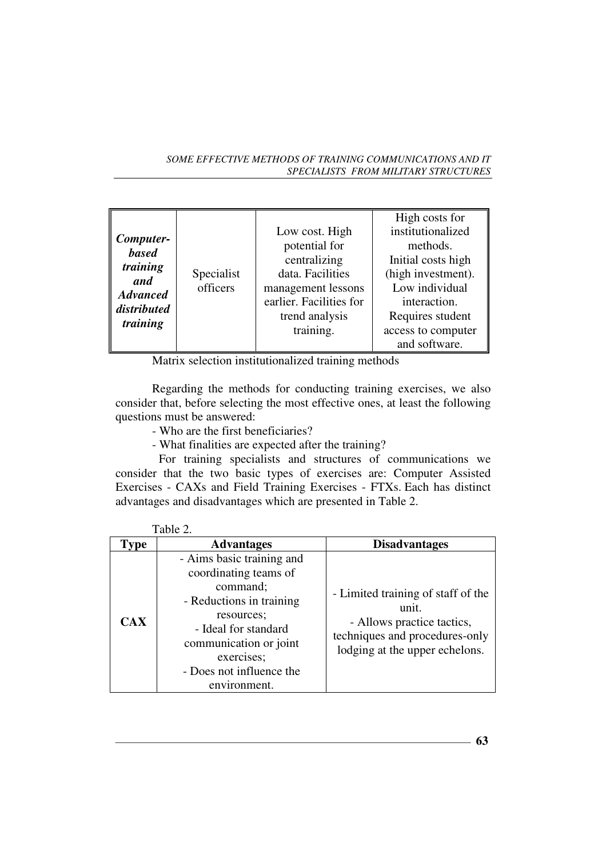| Computer-<br><b>based</b><br>training<br>and | Specialist<br>officers | Low cost. High<br>potential for<br>centralizing<br>data. Facilities<br>management lessons | High costs for<br>institutionalized<br>methods.<br>Initial costs high<br>(high investment).<br>Low individual |
|----------------------------------------------|------------------------|-------------------------------------------------------------------------------------------|---------------------------------------------------------------------------------------------------------------|
| <b>Advanced</b>                              |                        | earlier. Facilities for                                                                   | interaction.                                                                                                  |
| distributed<br>training                      |                        | trend analysis<br>training.                                                               | Requires student<br>access to computer<br>and software.                                                       |

Matrix selection institutionalized training methods

Regarding the methods for conducting training exercises, we also consider that, before selecting the most effective ones, at least the following questions must be answered:

- Who are the first beneficiaries?
- What finalities are expected after the training?

 For training specialists and structures of communications we consider that the two basic types of exercises are: Computer Assisted Exercises - CAXs and Field Training Exercises - FTXs. Each has distinct advantages and disadvantages which are presented in Table 2.

| $1$ avit $\angle$ . |                                                                                                                                                                                                                      |                                                                                                                                               |
|---------------------|----------------------------------------------------------------------------------------------------------------------------------------------------------------------------------------------------------------------|-----------------------------------------------------------------------------------------------------------------------------------------------|
| <b>Type</b>         | <b>Advantages</b>                                                                                                                                                                                                    | <b>Disadvantages</b>                                                                                                                          |
| <b>CAX</b>          | - Aims basic training and<br>coordinating teams of<br>command;<br>- Reductions in training<br>resources;<br>- Ideal for standard<br>communication or joint<br>exercises;<br>- Does not influence the<br>environment. | - Limited training of staff of the<br>unit.<br>- Allows practice tactics,<br>techniques and procedures-only<br>lodging at the upper echelons. |

| `able |  |
|-------|--|
|       |  |

**63**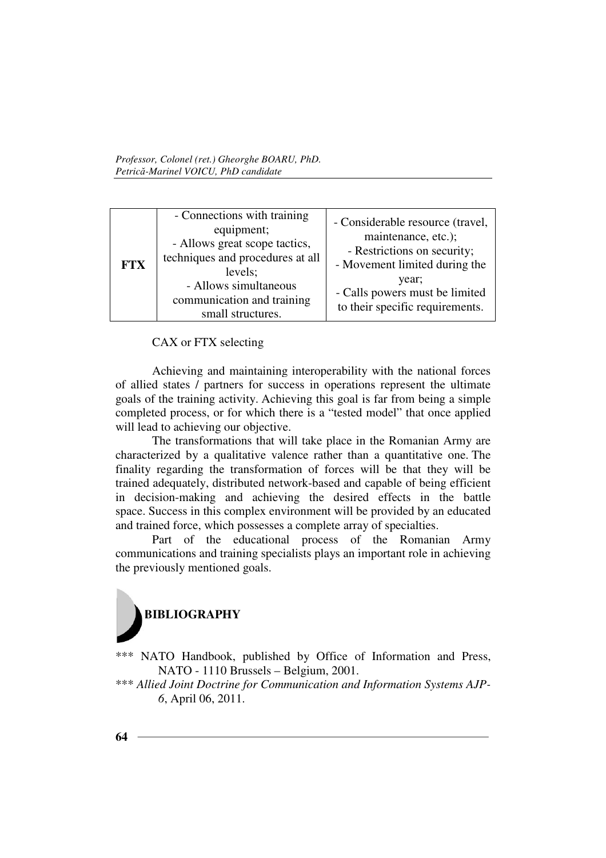| <b>FTX</b> | - Connections with training<br>equipment;<br>- Allows great scope tactics,<br>techniques and procedures at all<br>levels;<br>- Allows simultaneous<br>communication and training<br>small structures. | - Considerable resource (travel,<br>maintenance, etc.);<br>- Restrictions on security;<br>- Movement limited during the<br>year;<br>- Calls powers must be limited<br>to their specific requirements. |
|------------|-------------------------------------------------------------------------------------------------------------------------------------------------------------------------------------------------------|-------------------------------------------------------------------------------------------------------------------------------------------------------------------------------------------------------|
|------------|-------------------------------------------------------------------------------------------------------------------------------------------------------------------------------------------------------|-------------------------------------------------------------------------------------------------------------------------------------------------------------------------------------------------------|

CAX or FTX selecting

Achieving and maintaining interoperability with the national forces of allied states / partners for success in operations represent the ultimate goals of the training activity. Achieving this goal is far from being a simple completed process, or for which there is a "tested model" that once applied will lead to achieving our objective.

The transformations that will take place in the Romanian Army are characterized by a qualitative valence rather than a quantitative one. The finality regarding the transformation of forces will be that they will be trained adequately, distributed network-based and capable of being efficient in decision-making and achieving the desired effects in the battle space. Success in this complex environment will be provided by an educated and trained force, which possesses a complete array of specialties.

Part of the educational process of the Romanian Army communications and training specialists plays an important role in achieving the previously mentioned goals.



\*\*\* NATO Handbook, published by Office of Information and Press, NATO - 1110 Brussels – Belgium, 2001.

\*\*\* Allied Joint Doctrine for Communication and Information Systems AJP-*6*, April 06, 2011.